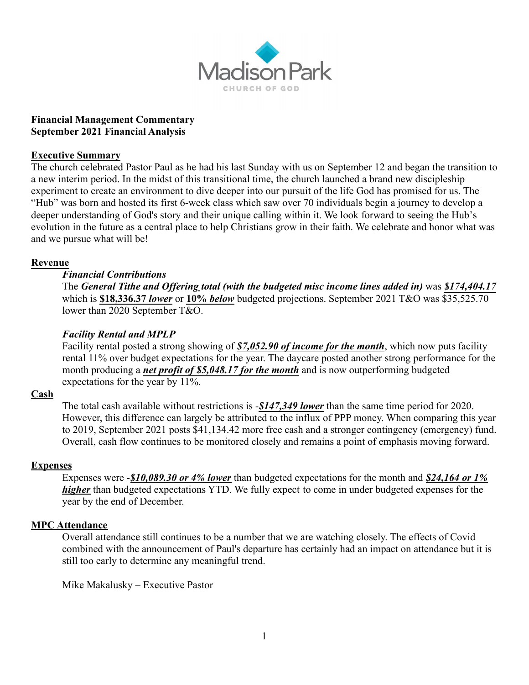

#### **Financial Management Commentary September 2021 Financial Analysis**

#### **Executive Summary**

The church celebrated Pastor Paul as he had his last Sunday with us on September 12 and began the transition to a new interim period. In the midst of this transitional time, the church launched a brand new discipleship experiment to create an environment to dive deeper into our pursuit of the life God has promised for us. The "Hub" was born and hosted its first 6-week class which saw over 70 individuals begin a journey to develop a deeper understanding of God's story and their unique calling within it. We look forward to seeing the Hub's evolution in the future as a central place to help Christians grow in their faith. We celebrate and honor what was and we pursue what will be!

## **Revenue**

## *Financial Contributions*

The *General Tithe and Offering total (with the budgeted misc income lines added in)* was *\$174,404.17* which is **\$18,336.37** *lower* or **10%** *below* budgeted projections. September 2021 T&O was \$35,525.70 lower than 2020 September T&O.

## *Facility Rental and MPLP*

Facility rental posted a strong showing of *\$7,052.90 of income for the month*, which now puts facility rental 11% over budget expectations for the year. The daycare posted another strong performance for the month producing a *net profit of \$5,048.17 for the month* and is now outperforming budgeted expectations for the year by 11%.

## **Cash**

The total cash available without restrictions is *-\$147,349 lower* than the same time period for 2020. However, this difference can largely be attributed to the influx of PPP money. When comparing this year to 2019, September 2021 posts \$41,134.42 more free cash and a stronger contingency (emergency) fund. Overall, cash flow continues to be monitored closely and remains a point of emphasis moving forward.

## **Expenses**

Expenses were -*\$10,089.30 or 4% lower* than budgeted expectations for the month and *\$24,164 or 1% higher* than budgeted expectations YTD. We fully expect to come in under budgeted expenses for the year by the end of December.

## **MPC Attendance**

Overall attendance still continues to be a number that we are watching closely. The effects of Covid combined with the announcement of Paul's departure has certainly had an impact on attendance but it is still too early to determine any meaningful trend.

Mike Makalusky – Executive Pastor